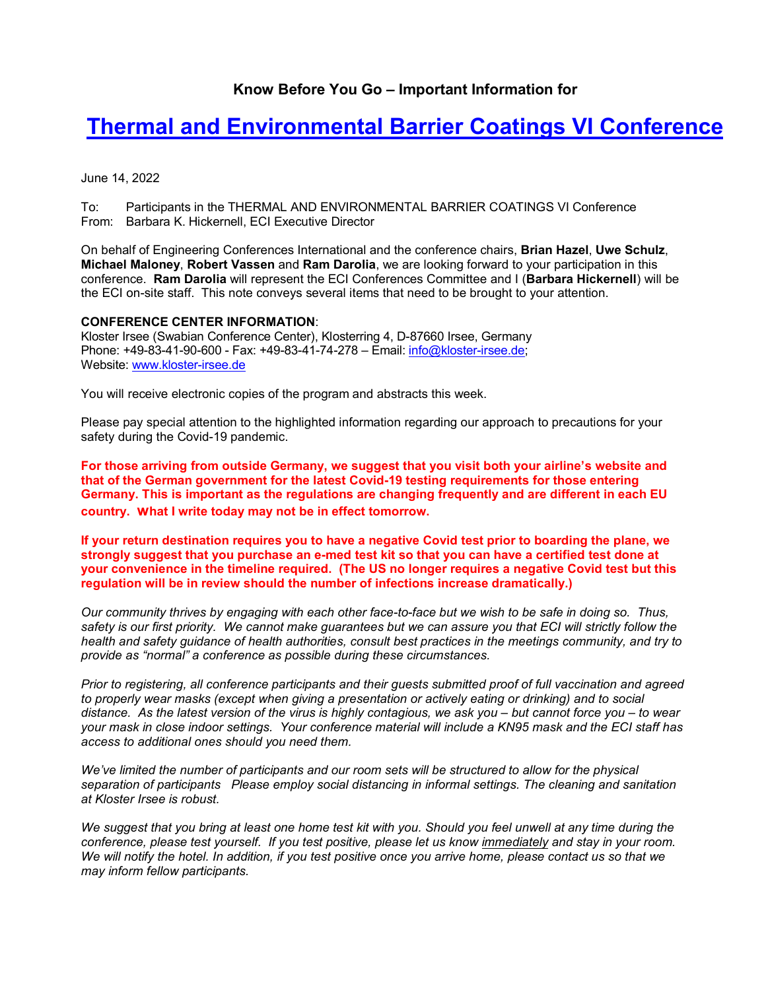# **Know Before You Go – Important Information for**

# **[Thermal and Environmental Barrier Coatings VI](http://engconf.us/conferences/materials-science-including-nanotechnology/thermal-and-environmental-barrier-coatings-vi/) Conference**

June 14, 2022

To: Participants in the THERMAL AND ENVIRONMENTAL BARRIER COATINGS VI Conference From: Barbara K. Hickernell, ECI Executive Director

On behalf of Engineering Conferences International and the conference chairs, **Brian Hazel**, **Uwe Schulz**, **Michael Maloney**, **Robert Vassen** and **Ram Darolia**, we are looking forward to your participation in this conference. **Ram Darolia** will represent the ECI Conferences Committee and I (**Barbara Hickernell**) will be the ECI on-site staff. This note conveys several items that need to be brought to your attention.

#### **CONFERENCE CENTER INFORMATION**:

Kloster Irsee (Swabian Conference Center), Klosterring 4, D-87660 Irsee, Germany Phone: +49-83-41-90-600 - Fax: +49-83-41-74-278 - Email: [info@kloster-irsee.de;](mailto:info@kloster-irsee.de) Website: [www.kloster-irsee.de](http://www.kloster-irsee.de/)

You will receive electronic copies of the program and abstracts this week.

Please pay special attention to the highlighted information regarding our approach to precautions for your safety during the Covid-19 pandemic.

**For those arriving from outside Germany, we suggest that you visit both your airline's website and that of the German government for the latest Covid-19 testing requirements for those entering Germany. This is important as the regulations are changing frequently and are different in each EU country. what I write today may not be in effect tomorrow.** 

**If your return destination requires you to have a negative Covid test prior to boarding the plane, we strongly suggest that you purchase an e-med test kit so that you can have a certified test done at your convenience in the timeline required. (The US no longer requires a negative Covid test but this regulation will be in review should the number of infections increase dramatically.)**

*Our community thrives by engaging with each other face-to-face but we wish to be safe in doing so. Thus, safety is our first priority. We cannot make guarantees but we can assure you that ECI will strictly follow the health and safety guidance of health authorities, consult best practices in the meetings community, and try to provide as "normal" a conference as possible during these circumstances.*

*Prior to registering, all conference participants and their guests submitted proof of full vaccination and agreed to properly wear masks (except when giving a presentation or actively eating or drinking) and to social distance. As the latest version of the virus is highly contagious, we ask you – but cannot force you – to wear your mask in close indoor settings. Your conference material will include a KN95 mask and the ECI staff has access to additional ones should you need them.*

We've limited the number of participants and our room sets will be structured to allow for the physical *separation of participants Please employ social distancing in informal settings. The cleaning and sanitation at Kloster Irsee is robust.* 

*We suggest that you bring at least one home test kit with you. Should you feel unwell at any time during the conference, please test yourself. If you test positive, please let us know immediately and stay in your room. We will notify the hotel. In addition, if you test positive once you arrive home, please contact us so that we may inform fellow participants.*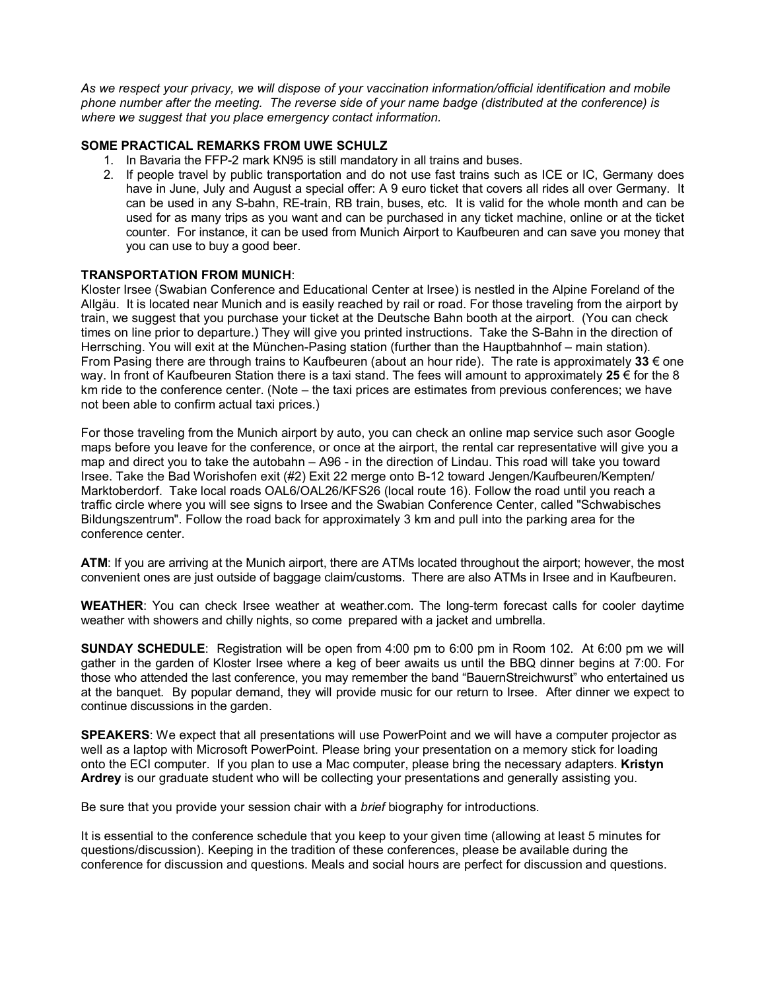*As we respect your privacy, we will dispose of your vaccination information/official identification and mobile phone number after the meeting. The reverse side of your name badge (distributed at the conference) is where we suggest that you place emergency contact information.*

## **SOME PRACTICAL REMARKS FROM UWE SCHULZ**

- 1. In Bavaria the FFP-2 mark KN95 is still mandatory in all trains and buses.
- 2. If people travel by public transportation and do not use fast trains such as ICE or IC, Germany does have in June, July and August a special offer: A 9 euro ticket that covers all rides all over Germany. It can be used in any S-bahn, RE-train, RB train, buses, etc. It is valid for the whole month and can be used for as many trips as you want and can be purchased in any ticket machine, online or at the ticket counter. For instance, it can be used from Munich Airport to Kaufbeuren and can save you money that you can use to buy a good beer.

## **TRANSPORTATION FROM MUNICH**:

Kloster Irsee (Swabian Conference and Educational Center at Irsee) is nestled in the Alpine Foreland of the Allgäu. It is located near Munich and is easily reached by rail or road. For those traveling from the airport by train, we suggest that you purchase your ticket at the Deutsche Bahn booth at the airport. (You can check times on line prior to departure.) They will give you printed instructions. Take the S-Bahn in the direction of Herrsching. You will exit at the München-Pasing station (further than the Hauptbahnhof – main station). From Pasing there are through trains to Kaufbeuren (about an hour ride). The rate is approximately **33** € one way. In front of Kaufbeuren Station there is a taxi stand. The fees will amount to approximately **25** € for the 8 km ride to the conference center. (Note – the taxi prices are estimates from previous conferences; we have not been able to confirm actual taxi prices.)

For those traveling from the Munich airport by auto, you can check an online map service such asor Google maps before you leave for the conference, or once at the airport, the rental car representative will give you a map and direct you to take the autobahn – A96 - in the direction of Lindau. This road will take you toward Irsee. Take the Bad Worishofen exit (#2) Exit 22 merge onto B-12 toward Jengen/Kaufbeuren/Kempten/ Marktoberdorf. Take local roads OAL6/OAL26/KFS26 (local route 16). Follow the road until you reach a traffic circle where you will see signs to Irsee and the Swabian Conference Center, called "Schwabisches Bildungszentrum". Follow the road back for approximately 3 km and pull into the parking area for the conference center.

**ATM**: If you are arriving at the Munich airport, there are ATMs located throughout the airport; however, the most convenient ones are just outside of baggage claim/customs. There are also ATMs in Irsee and in Kaufbeuren.

**WEATHER**: You can check Irsee weather at weather.com. The long-term forecast calls for cooler daytime weather with showers and chilly nights, so come prepared with a jacket and umbrella.

**SUNDAY SCHEDULE**: Registration will be open from 4:00 pm to 6:00 pm in Room 102. At 6:00 pm we will gather in the garden of Kloster Irsee where a keg of beer awaits us until the BBQ dinner begins at 7:00. For those who attended the last conference, you may remember the band "BauernStreichwurst" who entertained us at the banquet. By popular demand, they will provide music for our return to Irsee. After dinner we expect to continue discussions in the garden.

**SPEAKERS**: We expect that all presentations will use PowerPoint and we will have a computer projector as well as a laptop with Microsoft PowerPoint. Please bring your presentation on a memory stick for loading onto the ECI computer. If you plan to use a Mac computer, please bring the necessary adapters. **Kristyn Ardrey** is our graduate student who will be collecting your presentations and generally assisting you.

Be sure that you provide your session chair with a *brief* biography for introductions.

It is essential to the conference schedule that you keep to your given time (allowing at least 5 minutes for questions/discussion). Keeping in the tradition of these conferences, please be available during the conference for discussion and questions. Meals and social hours are perfect for discussion and questions.